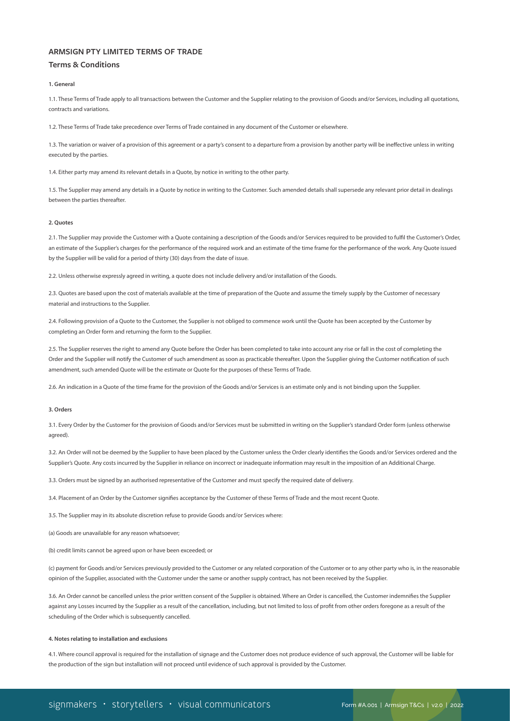# **ARMSIGN PTY LIMITED TERMS OF TRADE**

## **Terms & Conditions**

## **1. General**

1.1. These Terms of Trade apply to all transactions between the Customer and the Supplier relating to the provision of Goods and/or Services, including all quotations, contracts and variations.

1.2. These Terms of Trade take precedence over Terms of Trade contained in any document of the Customer or elsewhere.

1.3. The variation or waiver of a provision of this agreement or a party's consent to a departure from a provision by another party will be ineffective unless in writing executed by the parties.

1.4. Either party may amend its relevant details in a Quote, by notice in writing to the other party.

1.5. The Supplier may amend any details in a Quote by notice in writing to the Customer. Such amended details shall supersede any relevant prior detail in dealings between the parties thereafter.

#### **2. Quotes**

2.1. The Supplier may provide the Customer with a Quote containing a description of the Goods and/or Services required to be provided to fulfil the Customer's Order, an estimate of the Supplier's charges for the performance of the required work and an estimate of the time frame for the performance of the work. Any Quote issued by the Supplier will be valid for a period of thirty (30) days from the date of issue.

2.2. Unless otherwise expressly agreed in writing, a quote does not include delivery and/or installation of the Goods.

2.3. Quotes are based upon the cost of materials available at the time of preparation of the Quote and assume the timely supply by the Customer of necessary material and instructions to the Supplier.

2.4. Following provision of a Quote to the Customer, the Supplier is not obliged to commence work until the Quote has been accepted by the Customer by completing an Order form and returning the form to the Supplier.

2.5. The Supplier reserves the right to amend any Quote before the Order has been completed to take into account any rise or fall in the cost of completing the Order and the Supplier will notify the Customer of such amendment as soon as practicable thereafter. Upon the Supplier giving the Customer notification of such amendment, such amended Quote will be the estimate or Quote for the purposes of these Terms of Trade.

2.6. An indication in a Quote of the time frame for the provision of the Goods and/or Services is an estimate only and is not binding upon the Supplier.

#### **3. Orders**

3.1. Every Order by the Customer for the provision of Goods and/or Services must be submitted in writing on the Supplier's standard Order form (unless otherwise agreed).

3.2. An Order will not be deemed by the Supplier to have been placed by the Customer unless the Order clearly identifies the Goods and/or Services ordered and the Supplier's Quote. Any costs incurred by the Supplier in reliance on incorrect or inadequate information may result in the imposition of an Additional Charge.

3.3. Orders must be signed by an authorised representative of the Customer and must specify the required date of delivery.

3.4. Placement of an Order by the Customer signifies acceptance by the Customer of these Terms of Trade and the most recent Quote.

3.5. The Supplier may in its absolute discretion refuse to provide Goods and/or Services where:

(a) Goods are unavailable for any reason whatsoever;

(b) credit limits cannot be agreed upon or have been exceeded; or

(c) payment for Goods and/or Services previously provided to the Customer or any related corporation of the Customer or to any other party who is, in the reasonable opinion of the Supplier, associated with the Customer under the same or another supply contract, has not been received by the Supplier.

3.6. An Order cannot be cancelled unless the prior written consent of the Supplier is obtained. Where an Order is cancelled, the Customer indemnifies the Supplier against any Losses incurred by the Supplier as a result of the cancellation, including, but not limited to loss of profit from other orders foregone as a result of the scheduling of the Order which is subsequently cancelled.

#### **4. Notes relating to installation and exclusions**

4.1. Where council approval is required for the installation of signage and the Customer does not produce evidence of such approval, the Customer will be liable for the production of the sign but installation will not proceed until evidence of such approval is provided by the Customer.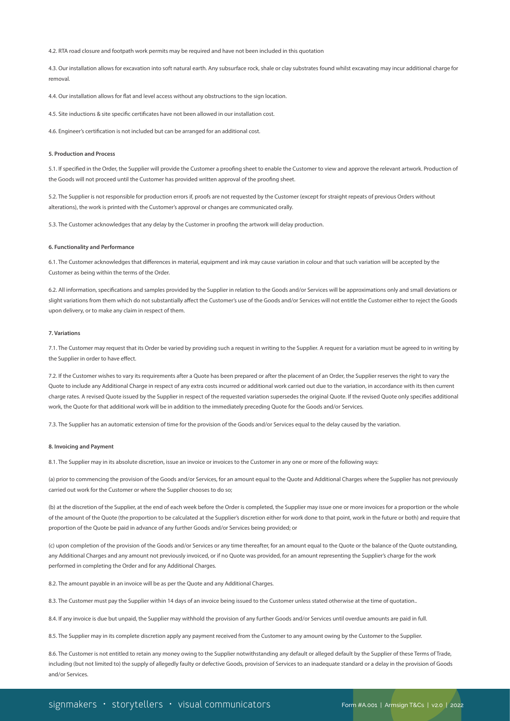4.2. RTA road closure and footpath work permits may be required and have not been included in this quotation

4.3. Our installation allows for excavation into soft natural earth. Any subsurface rock, shale or clay substrates found whilst excavating may incur additional charge for removal.

4.4. Our installation allows for flat and level access without any obstructions to the sign location.

4.5. Site inductions & site specific certificates have not been allowed in our installation cost.

4.6. Engineer's certification is not included but can be arranged for an additional cost.

#### **5. Production and Process**

5.1. If specified in the Order, the Supplier will provide the Customer a proofing sheet to enable the Customer to view and approve the relevant artwork. Production of the Goods will not proceed until the Customer has provided written approval of the proofing sheet.

5.2. The Supplier is not responsible for production errors if, proofs are not requested by the Customer (except for straight repeats of previous Orders without alterations), the work is printed with the Customer's approval or changes are communicated orally.

5.3. The Customer acknowledges that any delay by the Customer in proofing the artwork will delay production.

#### **6. Functionality and Performance**

6.1. The Customer acknowledges that differences in material, equipment and ink may cause variation in colour and that such variation will be accepted by the Customer as being within the terms of the Order.

6.2. All information, specifications and samples provided by the Supplier in relation to the Goods and/or Services will be approximations only and small deviations or slight variations from them which do not substantially affect the Customer's use of the Goods and/or Services will not entitle the Customer either to reject the Goods upon delivery, or to make any claim in respect of them.

#### **7. Variations**

7.1. The Customer may request that its Order be varied by providing such a request in writing to the Supplier. A request for a variation must be agreed to in writing by the Supplier in order to have effect.

7.2. If the Customer wishes to vary its requirements after a Quote has been prepared or after the placement of an Order, the Supplier reserves the right to vary the Quote to include any Additional Charge in respect of any extra costs incurred or additional work carried out due to the variation, in accordance with its then current charge rates. A revised Quote issued by the Supplier in respect of the requested variation supersedes the original Quote. If the revised Quote only specifies additional work, the Quote for that additional work will be in addition to the immediately preceding Quote for the Goods and/or Services.

7.3. The Supplier has an automatic extension of time for the provision of the Goods and/or Services equal to the delay caused by the variation.

## **8. Invoicing and Payment**

8.1. The Supplier may in its absolute discretion, issue an invoice or invoices to the Customer in any one or more of the following ways:

(a) prior to commencing the provision of the Goods and/or Services, for an amount equal to the Quote and Additional Charges where the Supplier has not previously carried out work for the Customer or where the Supplier chooses to do so;

(b) at the discretion of the Supplier, at the end of each week before the Order is completed, the Supplier may issue one or more invoices for a proportion or the whole of the amount of the Quote (the proportion to be calculated at the Supplier's discretion either for work done to that point, work in the future or both) and require that proportion of the Quote be paid in advance of any further Goods and/or Services being provided; or

(c) upon completion of the provision of the Goods and/or Services or any time thereafter, for an amount equal to the Quote or the balance of the Quote outstanding, any Additional Charges and any amount not previously invoiced, or if no Quote was provided, for an amount representing the Supplier's charge for the work performed in completing the Order and for any Additional Charges.

8.2. The amount payable in an invoice will be as per the Quote and any Additional Charges.

8.3. The Customer must pay the Supplier within 14 days of an invoice being issued to the Customer unless stated otherwise at the time of quotation..

8.4. If any invoice is due but unpaid, the Supplier may withhold the provision of any further Goods and/or Services until overdue amounts are paid in full.

8.5. The Supplier may in its complete discretion apply any payment received from the Customer to any amount owing by the Customer to the Supplier.

8.6. The Customer is not entitled to retain any money owing to the Supplier notwithstanding any default or alleged default by the Supplier of these Terms of Trade, including (but not limited to) the supply of allegedly faulty or defective Goods, provision of Services to an inadequate standard or a delay in the provision of Goods and/or Services.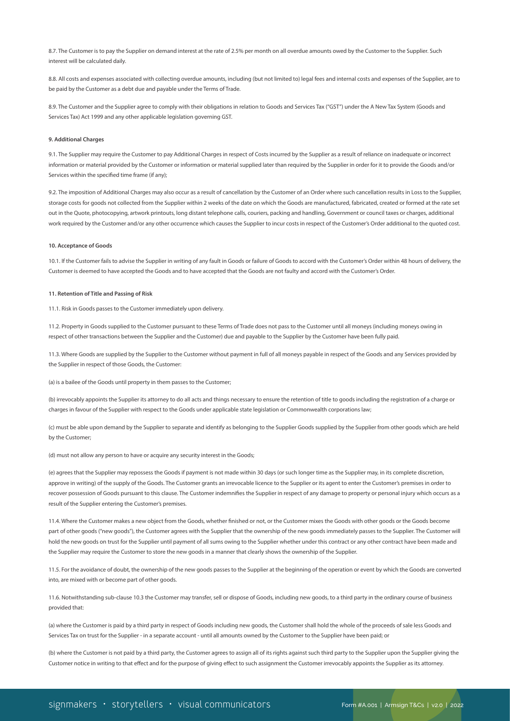8.7. The Customer is to pay the Supplier on demand interest at the rate of 2.5% per month on all overdue amounts owed by the Customer to the Supplier. Such interest will be calculated daily.

8.8. All costs and expenses associated with collecting overdue amounts, including (but not limited to) legal fees and internal costs and expenses of the Supplier, are to be paid by the Customer as a debt due and payable under the Terms of Trade.

8.9. The Customer and the Supplier agree to comply with their obligations in relation to Goods and Services Tax ("GST") under the A New Tax System (Goods and Services Tax) Act 1999 and any other applicable legislation governing GST.

#### **9. Additional Charges**

9.1. The Supplier may require the Customer to pay Additional Charges in respect of Costs incurred by the Supplier as a result of reliance on inadequate or incorrect information or material provided by the Customer or information or material supplied later than required by the Supplier in order for it to provide the Goods and/or Services within the specified time frame (if any);

9.2. The imposition of Additional Charges may also occur as a result of cancellation by the Customer of an Order where such cancellation results in Loss to the Supplier, storage costs for goods not collected from the Supplier within 2 weeks of the date on which the Goods are manufactured, fabricated, created or formed at the rate set out in the Quote, photocopying, artwork printouts, long distant telephone calls, couriers, packing and handling, Government or council taxes or charges, additional work required by the Customer and/or any other occurrence which causes the Supplier to incur costs in respect of the Customer's Order additional to the quoted cost.

#### **10. Acceptance of Goods**

10.1. If the Customer fails to advise the Supplier in writing of any fault in Goods or failure of Goods to accord with the Customer's Order within 48 hours of delivery, the Customer is deemed to have accepted the Goods and to have accepted that the Goods are not faulty and accord with the Customer's Order.

## **11. Retention of Title and Passing of Risk**

11.1. Risk in Goods passes to the Customer immediately upon delivery.

11.2. Property in Goods supplied to the Customer pursuant to these Terms of Trade does not pass to the Customer until all moneys (including moneys owing in respect of other transactions between the Supplier and the Customer) due and payable to the Supplier by the Customer have been fully paid.

11.3. Where Goods are supplied by the Supplier to the Customer without payment in full of all moneys payable in respect of the Goods and any Services provided by the Supplier in respect of those Goods, the Customer:

(a) is a bailee of the Goods until property in them passes to the Customer;

(b) irrevocably appoints the Supplier its attorney to do all acts and things necessary to ensure the retention of title to goods including the registration of a charge or charges in favour of the Supplier with respect to the Goods under applicable state legislation or Commonwealth corporations law;

(c) must be able upon demand by the Supplier to separate and identify as belonging to the Supplier Goods supplied by the Supplier from other goods which are held by the Customer;

(d) must not allow any person to have or acquire any security interest in the Goods;

(e) agrees that the Supplier may repossess the Goods if payment is not made within 30 days (or such longer time as the Supplier may, in its complete discretion, approve in writing) of the supply of the Goods. The Customer grants an irrevocable licence to the Supplier or its agent to enter the Customer's premises in order to recover possession of Goods pursuant to this clause. The Customer indemnifies the Supplier in respect of any damage to property or personal injury which occurs as a result of the Supplier entering the Customer's premises.

11.4. Where the Customer makes a new object from the Goods, whether finished or not, or the Customer mixes the Goods with other goods or the Goods become part of other goods ("new goods"), the Customer agrees with the Supplier that the ownership of the new goods immediately passes to the Supplier. The Customer will hold the new goods on trust for the Supplier until payment of all sums owing to the Supplier whether under this contract or any other contract have been made and the Supplier may require the Customer to store the new goods in a manner that clearly shows the ownership of the Supplier.

11.5. For the avoidance of doubt, the ownership of the new goods passes to the Supplier at the beginning of the operation or event by which the Goods are converted into, are mixed with or become part of other goods.

11.6. Notwithstanding sub-clause 10.3 the Customer may transfer, sell or dispose of Goods, including new goods, to a third party in the ordinary course of business provided that:

(a) where the Customer is paid by a third party in respect of Goods including new goods, the Customer shall hold the whole of the proceeds of sale less Goods and Services Tax on trust for the Supplier - in a separate account - until all amounts owned by the Customer to the Supplier have been paid; or

(b) where the Customer is not paid by a third party, the Customer agrees to assign all of its rights against such third party to the Supplier upon the Supplier giving the Customer notice in writing to that effect and for the purpose of giving effect to such assignment the Customer irrevocably appoints the Supplier as its attorney.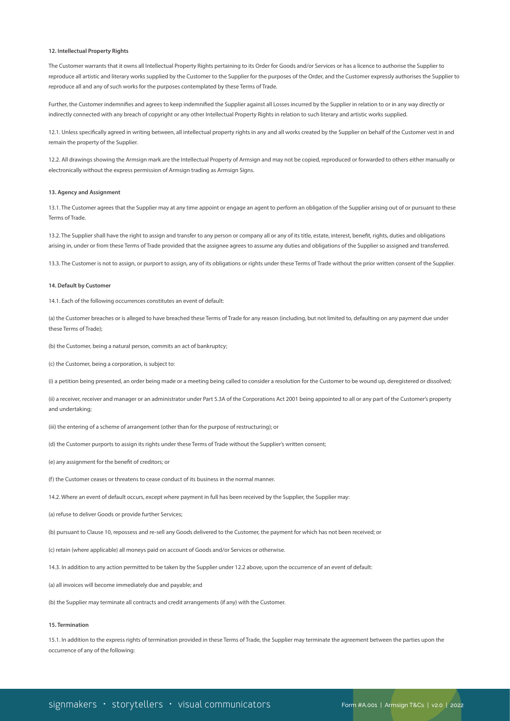## **12. Intellectual Property Rights**

The Customer warrants that it owns all Intellectual Property Rights pertaining to its Order for Goods and/or Services or has a licence to authorise the Supplier to reproduce all artistic and literary works supplied by the Customer to the Supplier for the purposes of the Order, and the Customer expressly authorises the Supplier to reproduce all and any of such works for the purposes contemplated by these Terms of Trade.

Further, the Customer indemnifies and agrees to keep indemnified the Supplier against all Losses incurred by the Supplier in relation to or in any way directly or indirectly connected with any breach of copyright or any other Intellectual Property Rights in relation to such literary and artistic works supplied.

12.1. Unless specifically agreed in writing between, all intellectual property rights in any and all works created by the Supplier on behalf of the Customer vest in and remain the property of the Supplier.

12.2. All drawings showing the Armsign mark are the Intellectual Property of Armsign and may not be copied, reproduced or forwarded to others either manually or electronically without the express permission of Armsign trading as Armsign Signs.

## **13. Agency and Assignment**

13.1. The Customer agrees that the Supplier may at any time appoint or engage an agent to perform an obligation of the Supplier arising out of or pursuant to these Terms of Trade.

13.2. The Supplier shall have the right to assign and transfer to any person or company all or any of its title, estate, interest, benefit, rights, duties and obligations arising in, under or from these Terms of Trade provided that the assignee agrees to assume any duties and obligations of the Supplier so assigned and transferred.

13.3. The Customer is not to assign, or purport to assign, any of its obligations or rights under these Terms of Trade without the prior written consent of the Supplier.

#### **14. Default by Customer**

14.1. Each of the following occurrences constitutes an event of default:

(a) the Customer breaches or is alleged to have breached these Terms of Trade for any reason (including, but not limited to, defaulting on any payment due under these Terms of Trade);

(b) the Customer, being a natural person, commits an act of bankruptcy;

(c) the Customer, being a corporation, is subject to:

(i) a petition being presented, an order being made or a meeting being called to consider a resolution for the Customer to be wound up, deregistered or dissolved;

(ii) a receiver, receiver and manager or an administrator under Part 5.3A of the Corporations Act 2001 being appointed to all or any part of the Customer's property and undertaking;

(iii) the entering of a scheme of arrangement (other than for the purpose of restructuring); or

(d) the Customer purports to assign its rights under these Terms of Trade without the Supplier's written consent;

(e) any assignment for the benefit of creditors; or

(f) the Customer ceases or threatens to cease conduct of its business in the normal manner.

14.2. Where an event of default occurs, except where payment in full has been received by the Supplier, the Supplier may:

(a) refuse to deliver Goods or provide further Services;

(b) pursuant to Clause 10, repossess and re-sell any Goods delivered to the Customer, the payment for which has not been received; or

(c) retain (where applicable) all moneys paid on account of Goods and/or Services or otherwise.

14.3. In addition to any action permitted to be taken by the Supplier under 12.2 above, upon the occurrence of an event of default:

(a) all invoices will become immediately due and payable; and

(b) the Supplier may terminate all contracts and credit arrangements (if any) with the Customer.

### **15. Termination**

15.1. In addition to the express rights of termination provided in these Terms of Trade, the Supplier may terminate the agreement between the parties upon the occurrence of any of the following: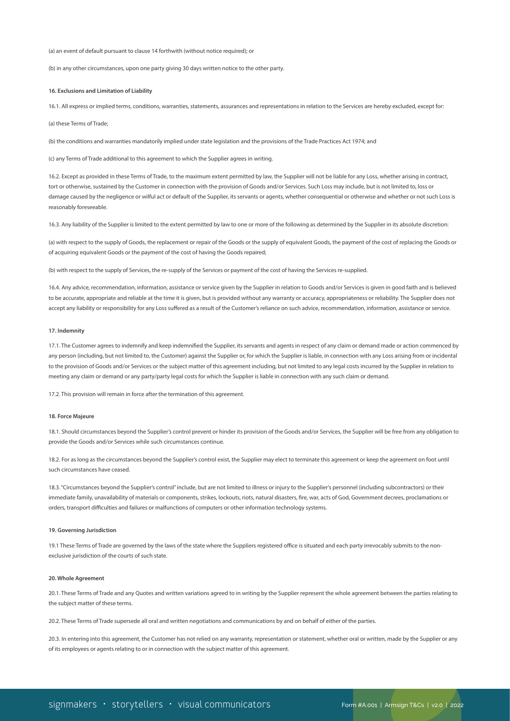(a) an event of default pursuant to clause 14 forthwith (without notice required); or

(b) in any other circumstances, upon one party giving 30 days written notice to the other party.

#### **16. Exclusions and Limitation of Liability**

16.1. All express or implied terms, conditions, warranties, statements, assurances and representations in relation to the Services are hereby excluded, except for:

(a) these Terms of Trade;

(b) the conditions and warranties mandatorily implied under state legislation and the provisions of the Trade Practices Act 1974; and

(c) any Terms of Trade additional to this agreement to which the Supplier agrees in writing.

16.2. Except as provided in these Terms of Trade, to the maximum extent permitted by law, the Supplier will not be liable for any Loss, whether arising in contract, tort or otherwise, sustained by the Customer in connection with the provision of Goods and/or Services. Such Loss may include, but is not limited to, loss or damage caused by the negligence or wilful act or default of the Supplier, its servants or agents, whether consequential or otherwise and whether or not such Loss is reasonably foreseeable.

16.3. Any liability of the Supplier is limited to the extent permitted by law to one or more of the following as determined by the Supplier in its absolute discretion:

(a) with respect to the supply of Goods, the replacement or repair of the Goods or the supply of equivalent Goods, the payment of the cost of replacing the Goods or of acquiring equivalent Goods or the payment of the cost of having the Goods repaired;

(b) with respect to the supply of Services, the re-supply of the Services or payment of the cost of having the Services re-supplied.

16.4. Any advice, recommendation, information, assistance or service given by the Supplier in relation to Goods and/or Services is given in good faith and is believed to be accurate, appropriate and reliable at the time it is given, but is provided without any warranty or accuracy, appropriateness or reliability. The Supplier does not accept any liability or responsibility for any Loss suffered as a result of the Customer's reliance on such advice, recommendation, information, assistance or service.

#### **17. Indemnity**

17.1. The Customer agrees to indemnify and keep indemnified the Supplier, its servants and agents in respect of any claim or demand made or action commenced by any person (including, but not limited to, the Customer) against the Supplier or, for which the Supplier is liable, in connection with any Loss arising from or incidental to the provision of Goods and/or Services or the subject matter of this agreement including, but not limited to any legal costs incurred by the Supplier in relation to meeting any claim or demand or any party/party legal costs for which the Supplier is liable in connection with any such claim or demand.

17.2. This provision will remain in force after the termination of this agreement.

## **18. Force Majeure**

18.1. Should circumstances beyond the Supplier's control prevent or hinder its provision of the Goods and/or Services, the Supplier will be free from any obligation to provide the Goods and/or Services while such circumstances continue.

18.2. For as long as the circumstances beyond the Supplier's control exist, the Supplier may elect to terminate this agreement or keep the agreement on foot until such circumstances have ceased.

18.3. "Circumstances beyond the Supplier's control" include, but are not limited to illness or injury to the Supplier's personnel (including subcontractors) or their immediate family, unavailability of materials or components, strikes, lockouts, riots, natural disasters, fire, war, acts of God, Government decrees, proclamations or orders, transport difficulties and failures or malfunctions of computers or other information technology systems.

#### **19. Governing Jurisdiction**

19.1 These Terms of Trade are governed by the laws of the state where the Suppliers registered office is situated and each party irrevocably submits to the nonexclusive jurisdiction of the courts of such state.

#### **20. Whole Agreement**

20.1. These Terms of Trade and any Quotes and written variations agreed to in writing by the Supplier represent the whole agreement between the parties relating to the subject matter of these terms.

20.2. These Terms of Trade supersede all oral and written negotiations and communications by and on behalf of either of the parties.

20.3. In entering into this agreement, the Customer has not relied on any warranty, representation or statement, whether oral or written, made by the Supplier or any of its employees or agents relating to or in connection with the subject matter of this agreement.